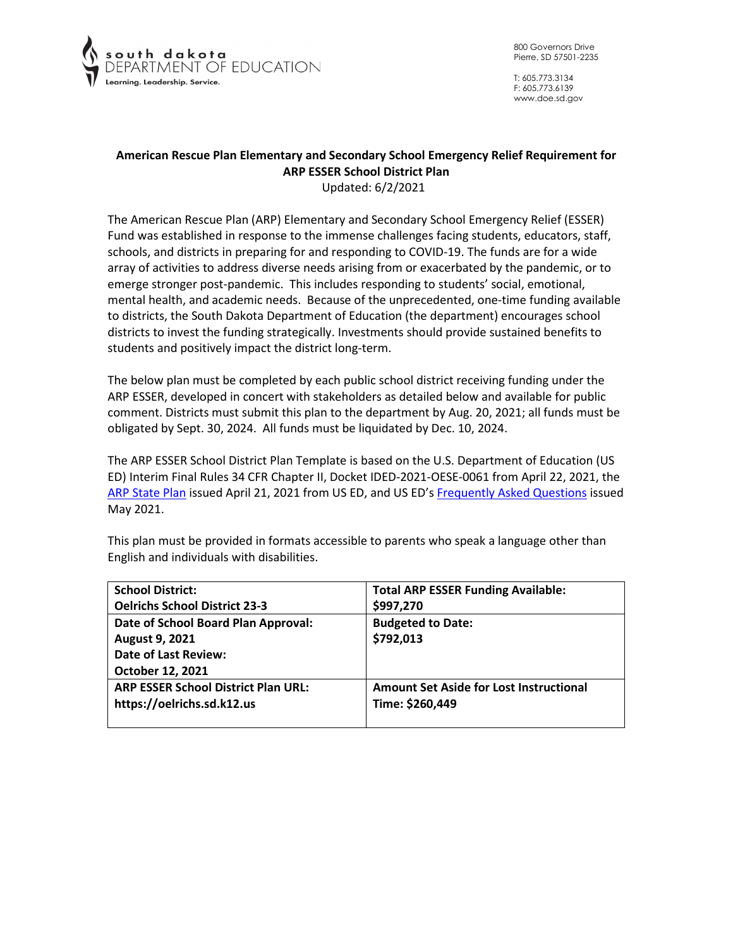

T: 605.773.3134 F: 605.773.6139 www.doe.sd.gov

# **American Rescue Plan Elementary and Secondary School Emergency Relief Requirement for ARP ESSER School District Plan**

Updated: 6/2/2021

The American Rescue Plan (ARP) Elementary and Secondary School Emergency Relief (ESSER) Fund was established in response to the immense challenges facing students, educators, staff, schools, and districts in preparing for and responding to COVID-19. The funds are for a wide array of activities to address diverse needs arising from or exacerbated by the pandemic, or to emerge stronger post-pandemic. This includes responding to students' social, emotional, mental health, and academic needs. Because of the unprecedented, one-time funding available to districts, the South Dakota Department of Education (the department) encourages school districts to invest the funding strategically. Investments should provide sustained benefits to students and positively impact the district long-term.

The below plan must be completed by each public school district receiving funding under the ARP ESSER, developed in concert with stakeholders as detailed below and available for public comment. Districts must submit this plan to the department by Aug. 20, 2021; all funds must be obligated by Sept. 30, 2024. All funds must be liquidated by Dec. 10, 2024.

The ARP ESSER School District Plan Template is based on the U.S. Department of Education (US ED) Interim Final Rules 34 CFR Chapter II, Docket IDED-2021-OESE-0061 from April 22, 2021, the [ARP State Plan](https://oese.ed.gov/files/2021/04/ARP-ESSER-State-Plan-Template-04-20-2021_130PM.pdf) issued April 21, 2021 from US ED, and US ED's [Frequently Asked Questions](https://oese.ed.gov/files/2021/05/ESSER.GEER_.FAQs_5.26.21_745AM_FINALb0cd6833f6f46e03ba2d97d30aff953260028045f9ef3b18ea602db4b32b1d99.pdf) issued May 2021.

| <b>School District:</b>                    | <b>Total ARP ESSER Funding Available:</b>      |
|--------------------------------------------|------------------------------------------------|
| <b>Oelrichs School District 23-3</b>       | \$997,270                                      |
| Date of School Board Plan Approval:        | <b>Budgeted to Date:</b>                       |
| <b>August 9, 2021</b>                      | \$792,013                                      |
| <b>Date of Last Review:</b>                |                                                |
| October 12, 2021                           |                                                |
| <b>ARP ESSER School District Plan URL:</b> | <b>Amount Set Aside for Lost Instructional</b> |
| https://oelrichs.sd.k12.us                 | Time: \$260,449                                |
|                                            |                                                |

This plan must be provided in formats accessible to parents who speak a language other than English and individuals with disabilities.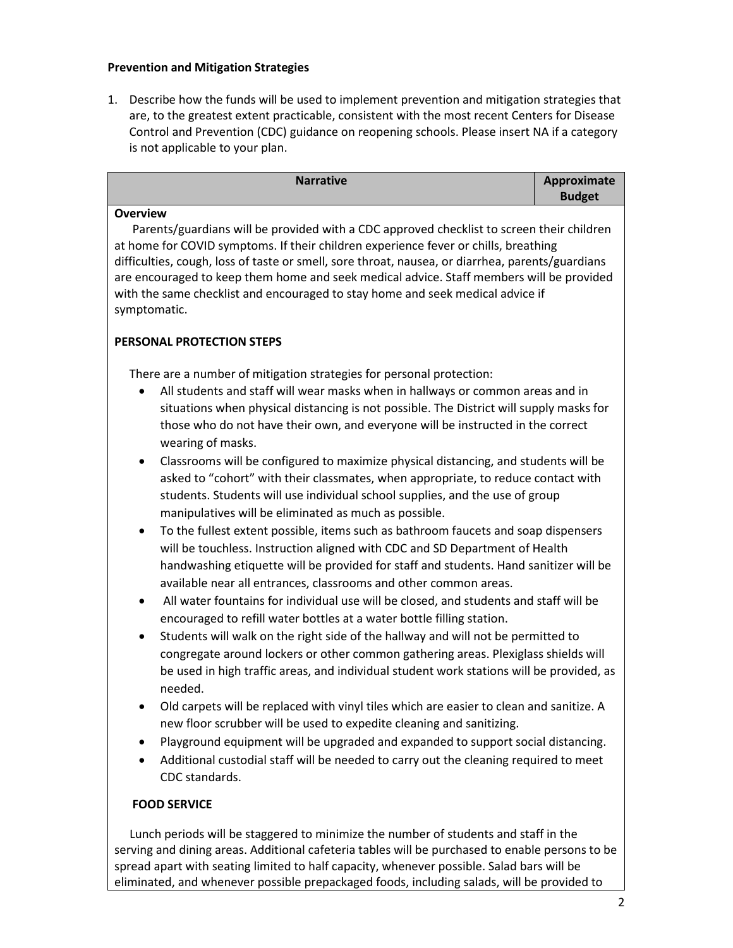### **Prevention and Mitigation Strategies**

1. Describe how the funds will be used to implement prevention and mitigation strategies that are, to the greatest extent practicable, consistent with the most recent Centers for Disease Control and Prevention (CDC) guidance on reopening schools. Please insert NA if a category is not applicable to your plan.

| <b>Narrative</b> | Approximate   |
|------------------|---------------|
|                  | <b>Budget</b> |

### **Overview**

 Parents/guardians will be provided with a CDC approved checklist to screen their children at home for COVID symptoms. If their children experience fever or chills, breathing difficulties, cough, loss of taste or smell, sore throat, nausea, or diarrhea, parents/guardians are encouraged to keep them home and seek medical advice. Staff members will be provided with the same checklist and encouraged to stay home and seek medical advice if symptomatic.

## **PERSONAL PROTECTION STEPS**

There are a number of mitigation strategies for personal protection:

- All students and staff will wear masks when in hallways or common areas and in situations when physical distancing is not possible. The District will supply masks for those who do not have their own, and everyone will be instructed in the correct wearing of masks.
- Classrooms will be configured to maximize physical distancing, and students will be asked to "cohort" with their classmates, when appropriate, to reduce contact with students. Students will use individual school supplies, and the use of group manipulatives will be eliminated as much as possible.
- To the fullest extent possible, items such as bathroom faucets and soap dispensers will be touchless. Instruction aligned with CDC and SD Department of Health handwashing etiquette will be provided for staff and students. Hand sanitizer will be available near all entrances, classrooms and other common areas.
- All water fountains for individual use will be closed, and students and staff will be encouraged to refill water bottles at a water bottle filling station.
- Students will walk on the right side of the hallway and will not be permitted to congregate around lockers or other common gathering areas. Plexiglass shields will be used in high traffic areas, and individual student work stations will be provided, as needed.
- Old carpets will be replaced with vinyl tiles which are easier to clean and sanitize. A new floor scrubber will be used to expedite cleaning and sanitizing.
- Playground equipment will be upgraded and expanded to support social distancing.
- Additional custodial staff will be needed to carry out the cleaning required to meet CDC standards.

## **FOOD SERVICE**

 Lunch periods will be staggered to minimize the number of students and staff in the serving and dining areas. Additional cafeteria tables will be purchased to enable persons to be spread apart with seating limited to half capacity, whenever possible. Salad bars will be eliminated, and whenever possible prepackaged foods, including salads, will be provided to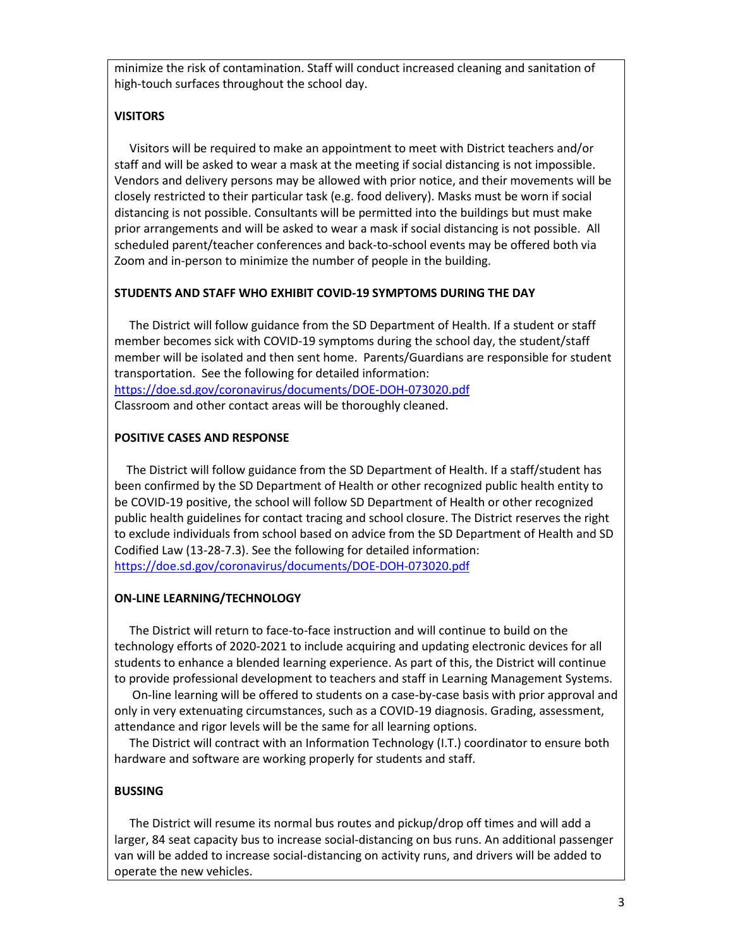minimize the risk of contamination. Staff will conduct increased cleaning and sanitation of high-touch surfaces throughout the school day.

## **VISITORS**

 Visitors will be required to make an appointment to meet with District teachers and/or staff and will be asked to wear a mask at the meeting if social distancing is not impossible. Vendors and delivery persons may be allowed with prior notice, and their movements will be closely restricted to their particular task (e.g. food delivery). Masks must be worn if social distancing is not possible. Consultants will be permitted into the buildings but must make prior arrangements and will be asked to wear a mask if social distancing is not possible. All scheduled parent/teacher conferences and back-to-school events may be offered both via Zoom and in-person to minimize the number of people in the building.

## **STUDENTS AND STAFF WHO EXHIBIT COVID-19 SYMPTOMS DURING THE DAY**

 The District will follow guidance from the SD Department of Health. If a student or staff member becomes sick with COVID-19 symptoms during the school day, the student/staff member will be isolated and then sent home. Parents/Guardians are responsible for student transportation. See the following for detailed information: <https://doe.sd.gov/coronavirus/documents/DOE-DOH-073020.pdf> Classroom and other contact areas will be thoroughly cleaned.

## **POSITIVE CASES AND RESPONSE**

 The District will follow guidance from the SD Department of Health. If a staff/student has been confirmed by the SD Department of Health or other recognized public health entity to be COVID-19 positive, the school will follow SD Department of Health or other recognized public health guidelines for contact tracing and school closure. The District reserves the right to exclude individuals from school based on advice from the SD Department of Health and SD Codified Law (13-28-7.3). See the following for detailed information: <https://doe.sd.gov/coronavirus/documents/DOE-DOH-073020.pdf>

## **ON-LINE LEARNING/TECHNOLOGY**

 The District will return to face-to-face instruction and will continue to build on the technology efforts of 2020-2021 to include acquiring and updating electronic devices for all students to enhance a blended learning experience. As part of this, the District will continue to provide professional development to teachers and staff in Learning Management Systems.

 On-line learning will be offered to students on a case-by-case basis with prior approval and only in very extenuating circumstances, such as a COVID-19 diagnosis. Grading, assessment, attendance and rigor levels will be the same for all learning options.

 The District will contract with an Information Technology (I.T.) coordinator to ensure both hardware and software are working properly for students and staff.

## **BUSSING**

 The District will resume its normal bus routes and pickup/drop off times and will add a larger, 84 seat capacity bus to increase social-distancing on bus runs. An additional passenger van will be added to increase social-distancing on activity runs, and drivers will be added to operate the new vehicles.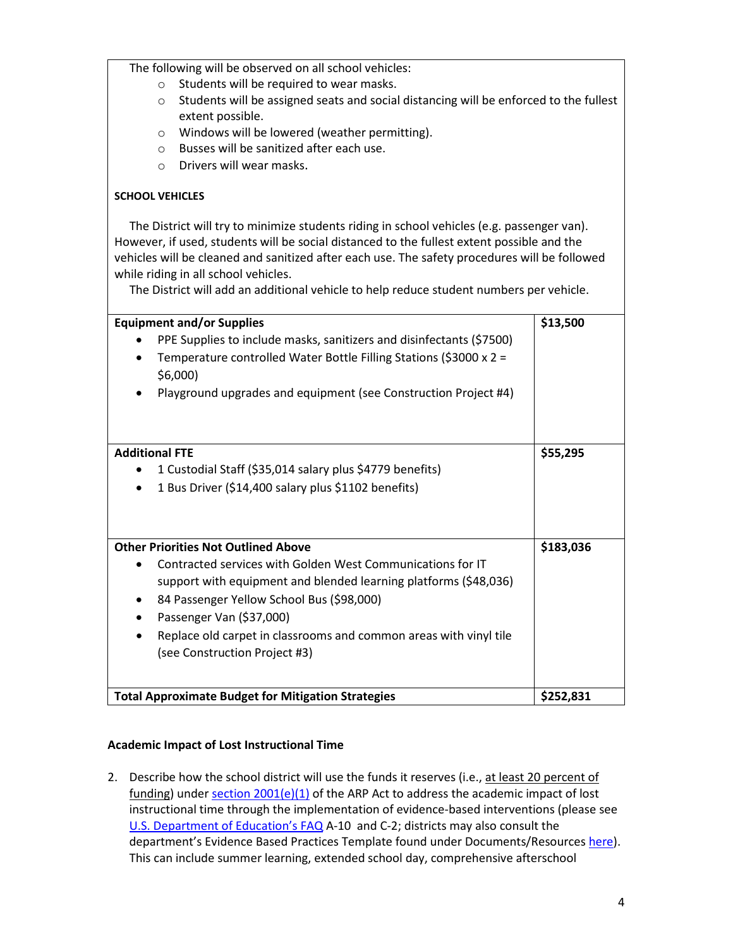The following will be observed on all school vehicles:

- o Students will be required to wear masks.
- $\circ$  Students will be assigned seats and social distancing will be enforced to the fullest extent possible.
- o Windows will be lowered (weather permitting).
- o Busses will be sanitized after each use.
- o Drivers will wear masks.

## **SCHOOL VEHICLES**

 The District will try to minimize students riding in school vehicles (e.g. passenger van). However, if used, students will be social distanced to the fullest extent possible and the vehicles will be cleaned and sanitized after each use. The safety procedures will be followed while riding in all school vehicles.

The District will add an additional vehicle to help reduce student numbers per vehicle.

| <b>Equipment and/or Supplies</b>                                     | \$13,500  |
|----------------------------------------------------------------------|-----------|
| PPE Supplies to include masks, sanitizers and disinfectants (\$7500) |           |
| Temperature controlled Water Bottle Filling Stations (\$3000 x 2 =   |           |
| \$6,000                                                              |           |
| Playground upgrades and equipment (see Construction Project #4)      |           |
|                                                                      |           |
| <b>Additional FTE</b>                                                | \$55,295  |
| 1 Custodial Staff (\$35,014 salary plus \$4779 benefits)             |           |
| 1 Bus Driver (\$14,400 salary plus \$1102 benefits)<br>$\bullet$     |           |
|                                                                      |           |
|                                                                      |           |
| <b>Other Priorities Not Outlined Above</b>                           | \$183,036 |
| Contracted services with Golden West Communications for IT           |           |
| support with equipment and blended learning platforms (\$48,036)     |           |
| 84 Passenger Yellow School Bus (\$98,000)                            |           |
| Passenger Van (\$37,000)<br>٠                                        |           |
| Replace old carpet in classrooms and common areas with vinyl tile    |           |
| (see Construction Project #3)                                        |           |
|                                                                      |           |
|                                                                      |           |
| <b>Total Approximate Budget for Mitigation Strategies</b>            | \$252,831 |

## **Academic Impact of Lost Instructional Time**

2. Describe how the school district will use the funds it reserves (i.e., at least 20 percent of funding) under section  $2001(e)(1)$  of the ARP Act to address the academic impact of lost instructional time through the implementation of evidence-based interventions (please see [U.S. Department of Education's FAQ](https://oese.ed.gov/files/2021/05/ESSER.GEER_.FAQs_5.26.21_745AM_FINALb0cd6833f6f46e03ba2d97d30aff953260028045f9ef3b18ea602db4b32b1d99.pdf) A-10 and C-2; districts may also consult the department's Evidence Based Practices Template found under Documents/Resource[s here\)](https://doe.sd.gov/title/schoolimprovement.aspx). This can include summer learning, extended school day, comprehensive afterschool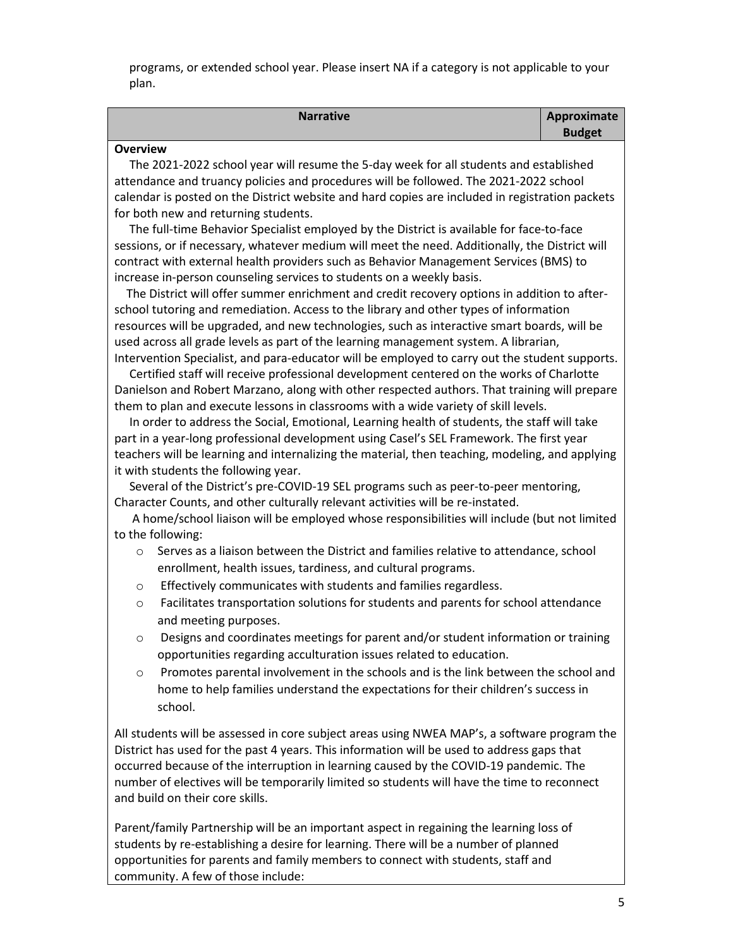programs, or extended school year. Please insert NA if a category is not applicable to your plan.

| <b>Narrative</b> | Approximate   |
|------------------|---------------|
|                  | <b>Budget</b> |

### **Overview**

 The 2021-2022 school year will resume the 5-day week for all students and established attendance and truancy policies and procedures will be followed. The 2021-2022 school calendar is posted on the District website and hard copies are included in registration packets for both new and returning students.

 The full-time Behavior Specialist employed by the District is available for face-to-face sessions, or if necessary, whatever medium will meet the need. Additionally, the District will contract with external health providers such as Behavior Management Services (BMS) to increase in-person counseling services to students on a weekly basis.

 The District will offer summer enrichment and credit recovery options in addition to afterschool tutoring and remediation. Access to the library and other types of information resources will be upgraded, and new technologies, such as interactive smart boards, will be used across all grade levels as part of the learning management system. A librarian, Intervention Specialist, and para-educator will be employed to carry out the student supports.

 Certified staff will receive professional development centered on the works of Charlotte Danielson and Robert Marzano, along with other respected authors. That training will prepare them to plan and execute lessons in classrooms with a wide variety of skill levels.

 In order to address the Social, Emotional, Learning health of students, the staff will take part in a year-long professional development using Casel's SEL Framework. The first year teachers will be learning and internalizing the material, then teaching, modeling, and applying it with students the following year.

 Several of the District's pre-COVID-19 SEL programs such as peer-to-peer mentoring, Character Counts, and other culturally relevant activities will be re-instated.

 A home/school liaison will be employed whose responsibilities will include (but not limited to the following:

- o Serves as a liaison between the District and families relative to attendance, school enrollment, health issues, tardiness, and cultural programs.
- o Effectively communicates with students and families regardless.
- Facilitates transportation solutions for students and parents for school attendance and meeting purposes.
- $\circ$  Designs and coordinates meetings for parent and/or student information or training opportunities regarding acculturation issues related to education.
- $\circ$  Promotes parental involvement in the schools and is the link between the school and home to help families understand the expectations for their children's success in school.

All students will be assessed in core subject areas using NWEA MAP's, a software program the District has used for the past 4 years. This information will be used to address gaps that occurred because of the interruption in learning caused by the COVID-19 pandemic. The number of electives will be temporarily limited so students will have the time to reconnect and build on their core skills.

Parent/family Partnership will be an important aspect in regaining the learning loss of students by re-establishing a desire for learning. There will be a number of planned opportunities for parents and family members to connect with students, staff and community. A few of those include: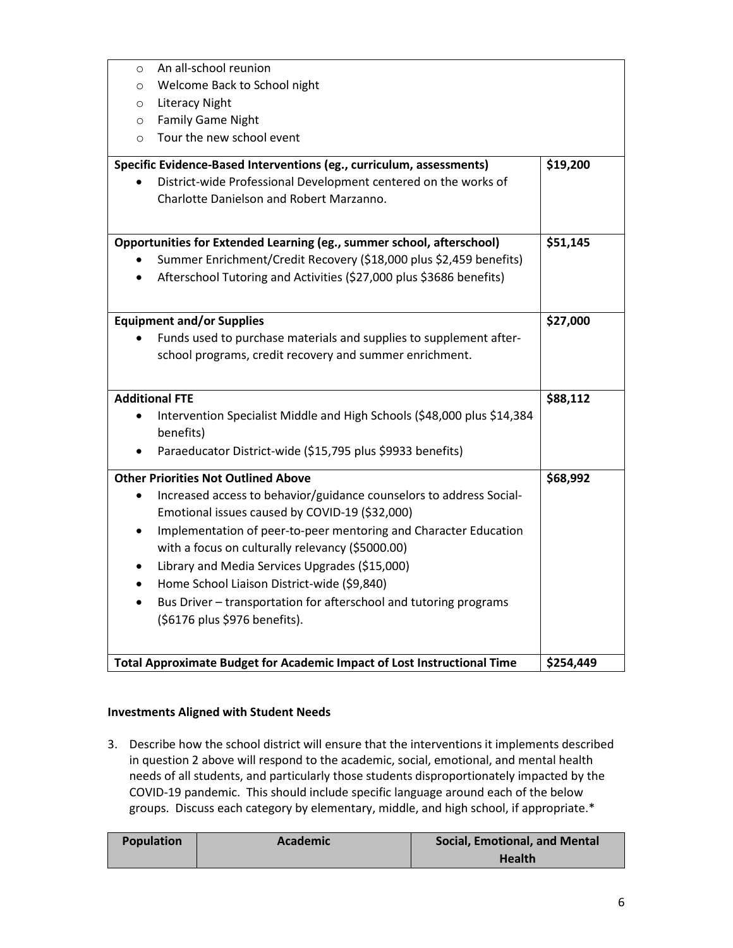|           | Total Approximate Budget for Academic Impact of Lost Instructional Time                                           | \$254,449 |
|-----------|-------------------------------------------------------------------------------------------------------------------|-----------|
|           |                                                                                                                   |           |
|           | (\$6176 plus \$976 benefits).                                                                                     |           |
|           | Bus Driver - transportation for afterschool and tutoring programs                                                 |           |
|           | Home School Liaison District-wide (\$9,840)                                                                       |           |
|           | Library and Media Services Upgrades (\$15,000)                                                                    |           |
|           | with a focus on culturally relevancy (\$5000.00)                                                                  |           |
| $\bullet$ | Implementation of peer-to-peer mentoring and Character Education                                                  |           |
|           | Emotional issues caused by COVID-19 (\$32,000)                                                                    |           |
|           | <b>Other Priorities Not Outlined Above</b><br>Increased access to behavior/guidance counselors to address Social- | \$68,992  |
|           |                                                                                                                   |           |
|           | Paraeducator District-wide (\$15,795 plus \$9933 benefits)                                                        |           |
|           | benefits)                                                                                                         |           |
| $\bullet$ | Intervention Specialist Middle and High Schools (\$48,000 plus \$14,384                                           | \$88,112  |
|           | <b>Additional FTE</b>                                                                                             |           |
|           | school programs, credit recovery and summer enrichment.                                                           |           |
|           | Funds used to purchase materials and supplies to supplement after-                                                |           |
|           | <b>Equipment and/or Supplies</b>                                                                                  | \$27,000  |
|           |                                                                                                                   |           |
|           | Afterschool Tutoring and Activities (\$27,000 plus \$3686 benefits)                                               |           |
|           | Summer Enrichment/Credit Recovery (\$18,000 plus \$2,459 benefits)                                                |           |
|           | Opportunities for Extended Learning (eg., summer school, afterschool)                                             | \$51,145  |
|           |                                                                                                                   |           |
|           | Charlotte Danielson and Robert Marzanno.                                                                          |           |
|           | District-wide Professional Development centered on the works of                                                   |           |
|           | Specific Evidence-Based Interventions (eg., curriculum, assessments)                                              | \$19,200  |
| $\circ$   | Tour the new school event                                                                                         |           |
| $\circ$   | <b>Family Game Night</b>                                                                                          |           |
| $\circ$   | <b>Literacy Night</b>                                                                                             |           |
| $\circ$   | Welcome Back to School night                                                                                      |           |
| $\circ$   | An all-school reunion                                                                                             |           |

## **Investments Aligned with Student Needs**

3. Describe how the school district will ensure that the interventions it implements described in question 2 above will respond to the academic, social, emotional, and mental health needs of all students, and particularly those students disproportionately impacted by the COVID-19 pandemic. This should include specific language around each of the below groups. Discuss each category by elementary, middle, and high school, if appropriate.\*

| <b>Population</b> | Academic | <b>Social, Emotional, and Mental</b> |
|-------------------|----------|--------------------------------------|
|                   |          | <b>Health</b>                        |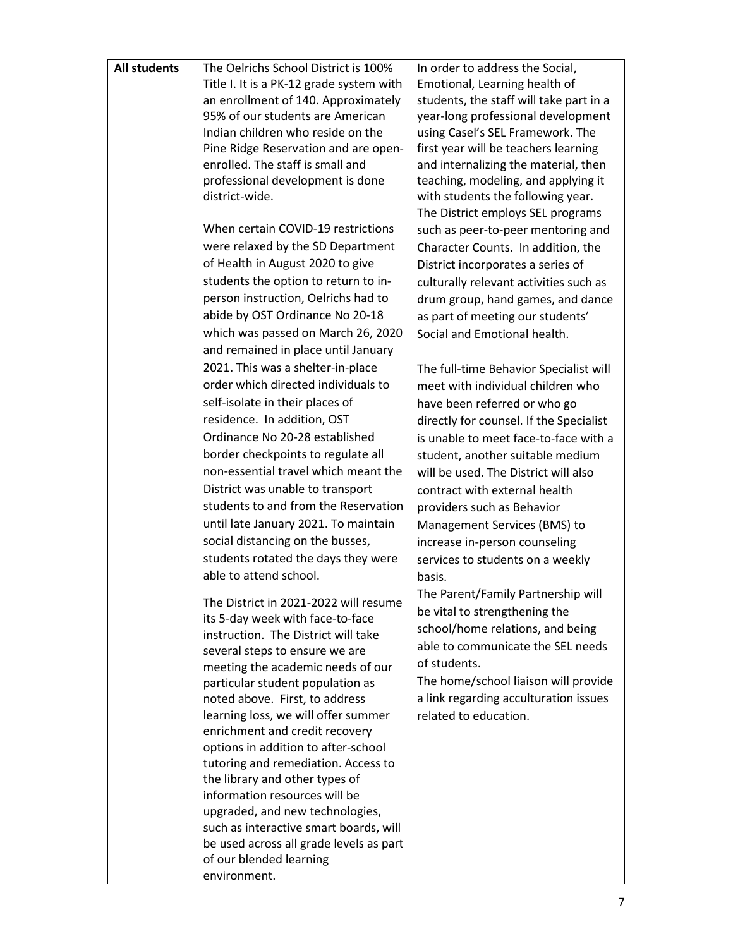| <b>All students</b> | The Oelrichs School District is 100%                                      | In order to address the Social,         |
|---------------------|---------------------------------------------------------------------------|-----------------------------------------|
|                     | Title I. It is a PK-12 grade system with                                  | Emotional, Learning health of           |
|                     | an enrollment of 140. Approximately                                       | students, the staff will take part in a |
|                     | 95% of our students are American                                          | year-long professional development      |
|                     | Indian children who reside on the                                         | using Casel's SEL Framework. The        |
|                     | Pine Ridge Reservation and are open-                                      | first year will be teachers learning    |
|                     | enrolled. The staff is small and                                          | and internalizing the material, then    |
|                     | professional development is done                                          | teaching, modeling, and applying it     |
|                     | district-wide.                                                            | with students the following year.       |
|                     |                                                                           | The District employs SEL programs       |
|                     | When certain COVID-19 restrictions                                        | such as peer-to-peer mentoring and      |
|                     | were relaxed by the SD Department                                         | Character Counts. In addition, the      |
|                     | of Health in August 2020 to give                                          | District incorporates a series of       |
|                     | students the option to return to in-                                      | culturally relevant activities such as  |
|                     | person instruction, Oelrichs had to                                       | drum group, hand games, and dance       |
|                     | abide by OST Ordinance No 20-18                                           | as part of meeting our students'        |
|                     | which was passed on March 26, 2020                                        | Social and Emotional health.            |
|                     | and remained in place until January                                       |                                         |
|                     | 2021. This was a shelter-in-place                                         | The full-time Behavior Specialist will  |
|                     | order which directed individuals to                                       | meet with individual children who       |
|                     | self-isolate in their places of                                           | have been referred or who go            |
|                     | residence. In addition, OST                                               | directly for counsel. If the Specialist |
|                     | Ordinance No 20-28 established                                            | is unable to meet face-to-face with a   |
|                     | border checkpoints to regulate all                                        | student, another suitable medium        |
|                     | non-essential travel which meant the                                      | will be used. The District will also    |
|                     | District was unable to transport                                          | contract with external health           |
|                     | students to and from the Reservation                                      | providers such as Behavior              |
|                     | until late January 2021. To maintain                                      | Management Services (BMS) to            |
|                     | social distancing on the busses,                                          | increase in-person counseling           |
|                     | students rotated the days they were                                       | services to students on a weekly        |
|                     | able to attend school.                                                    |                                         |
|                     |                                                                           | basis.                                  |
|                     | The District in 2021-2022 will resume                                     | The Parent/Family Partnership will      |
|                     | its 5-day week with face-to-face                                          | be vital to strengthening the           |
|                     | instruction. The District will take                                       | school/home relations, and being        |
|                     | several steps to ensure we are                                            | able to communicate the SEL needs       |
|                     | meeting the academic needs of our                                         | of students.                            |
|                     | particular student population as                                          | The home/school liaison will provide    |
|                     | noted above. First, to address                                            | a link regarding acculturation issues   |
|                     | learning loss, we will offer summer                                       | related to education.                   |
|                     | enrichment and credit recovery                                            |                                         |
|                     | options in addition to after-school                                       |                                         |
|                     | tutoring and remediation. Access to                                       |                                         |
|                     | the library and other types of                                            |                                         |
|                     | information resources will be                                             |                                         |
|                     | upgraded, and new technologies,<br>such as interactive smart boards, will |                                         |
|                     | be used across all grade levels as part                                   |                                         |
|                     | of our blended learning                                                   |                                         |
|                     | environment.                                                              |                                         |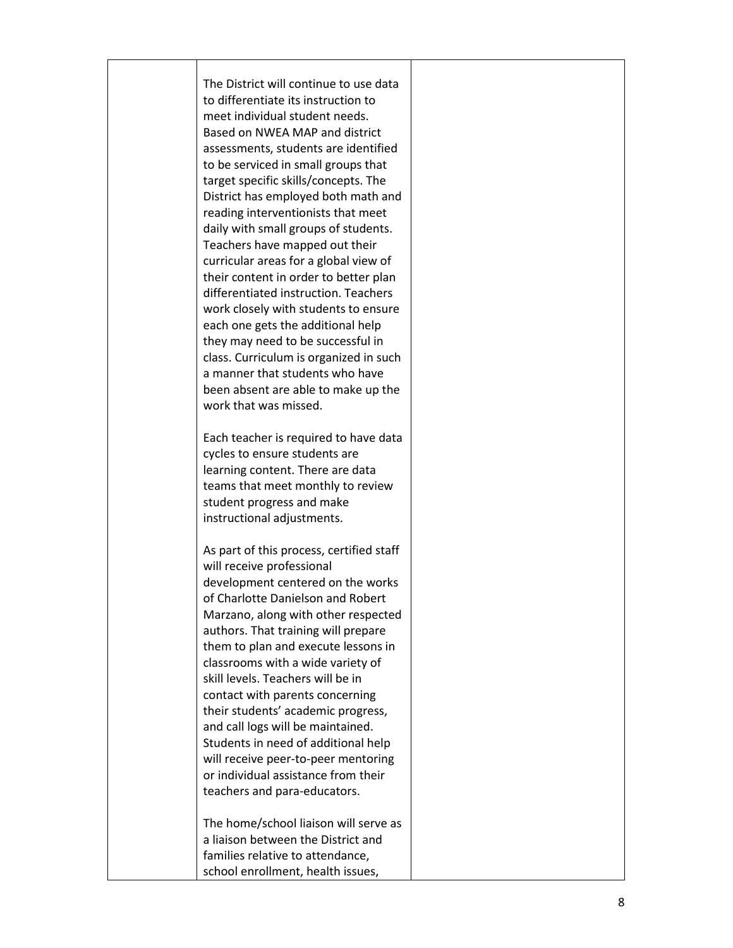| The District will continue to use data<br>to differentiate its instruction to<br>meet individual student needs.<br>Based on NWEA MAP and district<br>assessments, students are identified<br>to be serviced in small groups that<br>target specific skills/concepts. The<br>District has employed both math and<br>reading interventionists that meet<br>daily with small groups of students.<br>Teachers have mapped out their<br>curricular areas for a global view of<br>their content in order to better plan<br>differentiated instruction. Teachers<br>work closely with students to ensure<br>each one gets the additional help<br>they may need to be successful in<br>class. Curriculum is organized in such<br>a manner that students who have |  |
|----------------------------------------------------------------------------------------------------------------------------------------------------------------------------------------------------------------------------------------------------------------------------------------------------------------------------------------------------------------------------------------------------------------------------------------------------------------------------------------------------------------------------------------------------------------------------------------------------------------------------------------------------------------------------------------------------------------------------------------------------------|--|
| been absent are able to make up the                                                                                                                                                                                                                                                                                                                                                                                                                                                                                                                                                                                                                                                                                                                      |  |
| work that was missed.                                                                                                                                                                                                                                                                                                                                                                                                                                                                                                                                                                                                                                                                                                                                    |  |
|                                                                                                                                                                                                                                                                                                                                                                                                                                                                                                                                                                                                                                                                                                                                                          |  |
| Each teacher is required to have data                                                                                                                                                                                                                                                                                                                                                                                                                                                                                                                                                                                                                                                                                                                    |  |
| cycles to ensure students are                                                                                                                                                                                                                                                                                                                                                                                                                                                                                                                                                                                                                                                                                                                            |  |
| learning content. There are data                                                                                                                                                                                                                                                                                                                                                                                                                                                                                                                                                                                                                                                                                                                         |  |
| teams that meet monthly to review                                                                                                                                                                                                                                                                                                                                                                                                                                                                                                                                                                                                                                                                                                                        |  |
| student progress and make                                                                                                                                                                                                                                                                                                                                                                                                                                                                                                                                                                                                                                                                                                                                |  |
| instructional adjustments.                                                                                                                                                                                                                                                                                                                                                                                                                                                                                                                                                                                                                                                                                                                               |  |
| As part of this process, certified staff                                                                                                                                                                                                                                                                                                                                                                                                                                                                                                                                                                                                                                                                                                                 |  |
| will receive professional                                                                                                                                                                                                                                                                                                                                                                                                                                                                                                                                                                                                                                                                                                                                |  |
| development centered on the works                                                                                                                                                                                                                                                                                                                                                                                                                                                                                                                                                                                                                                                                                                                        |  |
| of Charlotte Danielson and Robert                                                                                                                                                                                                                                                                                                                                                                                                                                                                                                                                                                                                                                                                                                                        |  |
| Marzano, along with other respected                                                                                                                                                                                                                                                                                                                                                                                                                                                                                                                                                                                                                                                                                                                      |  |
| authors. That training will prepare                                                                                                                                                                                                                                                                                                                                                                                                                                                                                                                                                                                                                                                                                                                      |  |
| them to plan and execute lessons in                                                                                                                                                                                                                                                                                                                                                                                                                                                                                                                                                                                                                                                                                                                      |  |
| classrooms with a wide variety of                                                                                                                                                                                                                                                                                                                                                                                                                                                                                                                                                                                                                                                                                                                        |  |
| skill levels. Teachers will be in                                                                                                                                                                                                                                                                                                                                                                                                                                                                                                                                                                                                                                                                                                                        |  |
| contact with parents concerning<br>their students' academic progress,                                                                                                                                                                                                                                                                                                                                                                                                                                                                                                                                                                                                                                                                                    |  |
| and call logs will be maintained.                                                                                                                                                                                                                                                                                                                                                                                                                                                                                                                                                                                                                                                                                                                        |  |
| Students in need of additional help                                                                                                                                                                                                                                                                                                                                                                                                                                                                                                                                                                                                                                                                                                                      |  |
| will receive peer-to-peer mentoring                                                                                                                                                                                                                                                                                                                                                                                                                                                                                                                                                                                                                                                                                                                      |  |
| or individual assistance from their                                                                                                                                                                                                                                                                                                                                                                                                                                                                                                                                                                                                                                                                                                                      |  |
| teachers and para-educators.                                                                                                                                                                                                                                                                                                                                                                                                                                                                                                                                                                                                                                                                                                                             |  |
|                                                                                                                                                                                                                                                                                                                                                                                                                                                                                                                                                                                                                                                                                                                                                          |  |
| The home/school liaison will serve as                                                                                                                                                                                                                                                                                                                                                                                                                                                                                                                                                                                                                                                                                                                    |  |
| a liaison between the District and                                                                                                                                                                                                                                                                                                                                                                                                                                                                                                                                                                                                                                                                                                                       |  |
| families relative to attendance,                                                                                                                                                                                                                                                                                                                                                                                                                                                                                                                                                                                                                                                                                                                         |  |
| school enrollment, health issues,                                                                                                                                                                                                                                                                                                                                                                                                                                                                                                                                                                                                                                                                                                                        |  |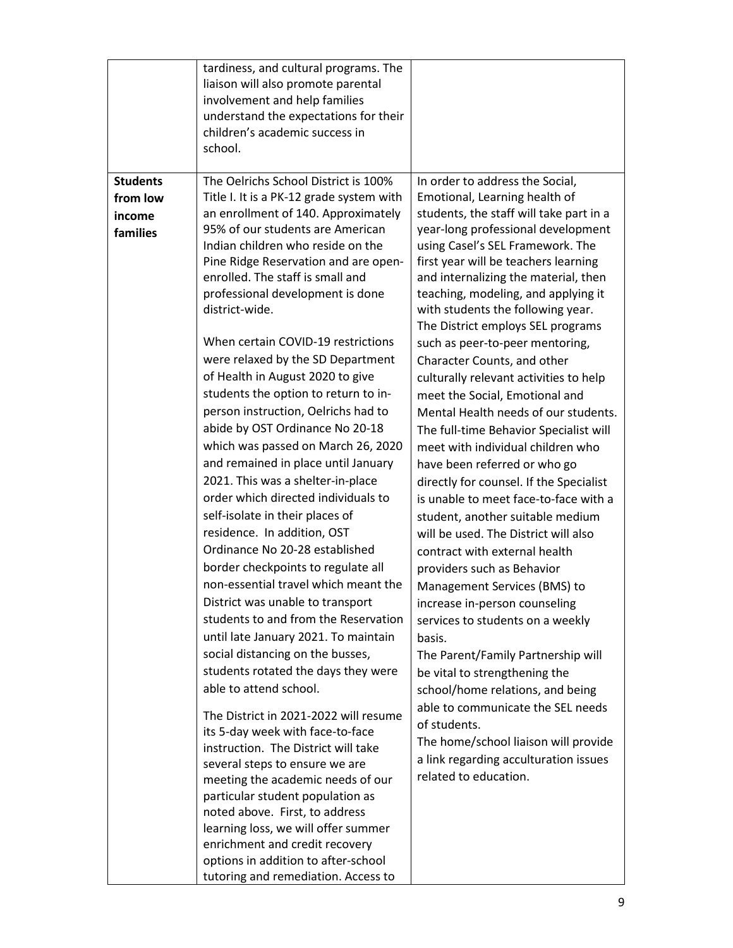|                                                   | tardiness, and cultural programs. The<br>liaison will also promote parental<br>involvement and help families<br>understand the expectations for their<br>children's academic success in<br>school.                                                                                                                                                                                                                                                                                                                                                                                                                                                                                                                               |                                                                                                                                                                                                                                                                                                                                                                                                                                                                                                                                                                                                                                                                                       |
|---------------------------------------------------|----------------------------------------------------------------------------------------------------------------------------------------------------------------------------------------------------------------------------------------------------------------------------------------------------------------------------------------------------------------------------------------------------------------------------------------------------------------------------------------------------------------------------------------------------------------------------------------------------------------------------------------------------------------------------------------------------------------------------------|---------------------------------------------------------------------------------------------------------------------------------------------------------------------------------------------------------------------------------------------------------------------------------------------------------------------------------------------------------------------------------------------------------------------------------------------------------------------------------------------------------------------------------------------------------------------------------------------------------------------------------------------------------------------------------------|
| <b>Students</b><br>from low<br>income<br>families | The Oelrichs School District is 100%<br>Title I. It is a PK-12 grade system with<br>an enrollment of 140. Approximately<br>95% of our students are American<br>Indian children who reside on the<br>Pine Ridge Reservation and are open-<br>enrolled. The staff is small and<br>professional development is done<br>district-wide.                                                                                                                                                                                                                                                                                                                                                                                               | In order to address the Social,<br>Emotional, Learning health of<br>students, the staff will take part in a<br>year-long professional development<br>using Casel's SEL Framework. The<br>first year will be teachers learning<br>and internalizing the material, then<br>teaching, modeling, and applying it<br>with students the following year.<br>The District employs SEL programs                                                                                                                                                                                                                                                                                                |
|                                                   | When certain COVID-19 restrictions<br>were relaxed by the SD Department<br>of Health in August 2020 to give<br>students the option to return to in-<br>person instruction, Oelrichs had to<br>abide by OST Ordinance No 20-18<br>which was passed on March 26, 2020<br>and remained in place until January<br>2021. This was a shelter-in-place<br>order which directed individuals to<br>self-isolate in their places of<br>residence. In addition, OST<br>Ordinance No 20-28 established<br>border checkpoints to regulate all<br>non-essential travel which meant the<br>District was unable to transport<br>students to and from the Reservation<br>until late January 2021. To maintain<br>social distancing on the busses, | such as peer-to-peer mentoring,<br>Character Counts, and other<br>culturally relevant activities to help<br>meet the Social, Emotional and<br>Mental Health needs of our students.<br>The full-time Behavior Specialist will<br>meet with individual children who<br>have been referred or who go<br>directly for counsel. If the Specialist<br>is unable to meet face-to-face with a<br>student, another suitable medium<br>will be used. The District will also<br>contract with external health<br>providers such as Behavior<br>Management Services (BMS) to<br>increase in-person counseling<br>services to students on a weekly<br>basis.<br>The Parent/Family Partnership will |
|                                                   | students rotated the days they were<br>able to attend school.<br>The District in 2021-2022 will resume<br>its 5-day week with face-to-face<br>instruction. The District will take<br>several steps to ensure we are<br>meeting the academic needs of our<br>particular student population as<br>noted above. First, to address<br>learning loss, we will offer summer<br>enrichment and credit recovery<br>options in addition to after-school<br>tutoring and remediation. Access to                                                                                                                                                                                                                                            | be vital to strengthening the<br>school/home relations, and being<br>able to communicate the SEL needs<br>of students.<br>The home/school liaison will provide<br>a link regarding acculturation issues<br>related to education.                                                                                                                                                                                                                                                                                                                                                                                                                                                      |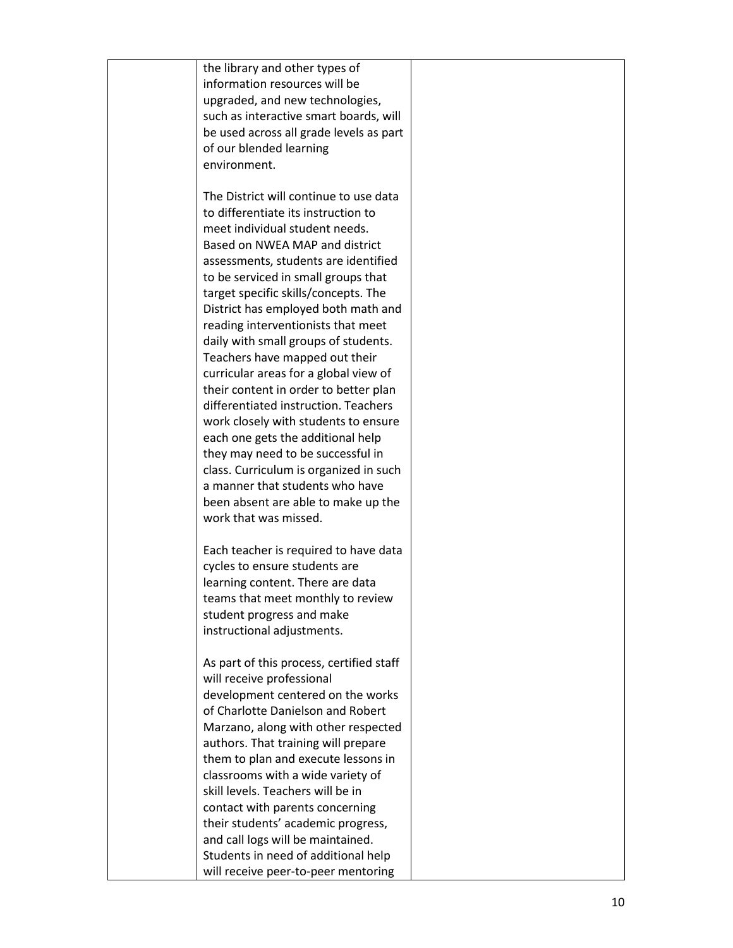| the library and other types of           |  |
|------------------------------------------|--|
| information resources will be            |  |
| upgraded, and new technologies,          |  |
| such as interactive smart boards, will   |  |
| be used across all grade levels as part  |  |
| of our blended learning                  |  |
| environment.                             |  |
|                                          |  |
| The District will continue to use data   |  |
| to differentiate its instruction to      |  |
| meet individual student needs.           |  |
| Based on NWEA MAP and district           |  |
|                                          |  |
| assessments, students are identified     |  |
| to be serviced in small groups that      |  |
| target specific skills/concepts. The     |  |
| District has employed both math and      |  |
| reading interventionists that meet       |  |
| daily with small groups of students.     |  |
| Teachers have mapped out their           |  |
| curricular areas for a global view of    |  |
| their content in order to better plan    |  |
| differentiated instruction. Teachers     |  |
| work closely with students to ensure     |  |
| each one gets the additional help        |  |
| they may need to be successful in        |  |
| class. Curriculum is organized in such   |  |
| a manner that students who have          |  |
| been absent are able to make up the      |  |
| work that was missed.                    |  |
|                                          |  |
| Each teacher is required to have data    |  |
| cycles to ensure students are            |  |
| learning content. There are data         |  |
| teams that meet monthly to review        |  |
| student progress and make                |  |
| instructional adjustments.               |  |
|                                          |  |
| As part of this process, certified staff |  |
| will receive professional                |  |
| development centered on the works        |  |
| of Charlotte Danielson and Robert        |  |
| Marzano, along with other respected      |  |
| authors. That training will prepare      |  |
| them to plan and execute lessons in      |  |
| classrooms with a wide variety of        |  |
| skill levels. Teachers will be in        |  |
| contact with parents concerning          |  |
| their students' academic progress,       |  |
| and call logs will be maintained.        |  |
| Students in need of additional help      |  |
| will receive peer-to-peer mentoring      |  |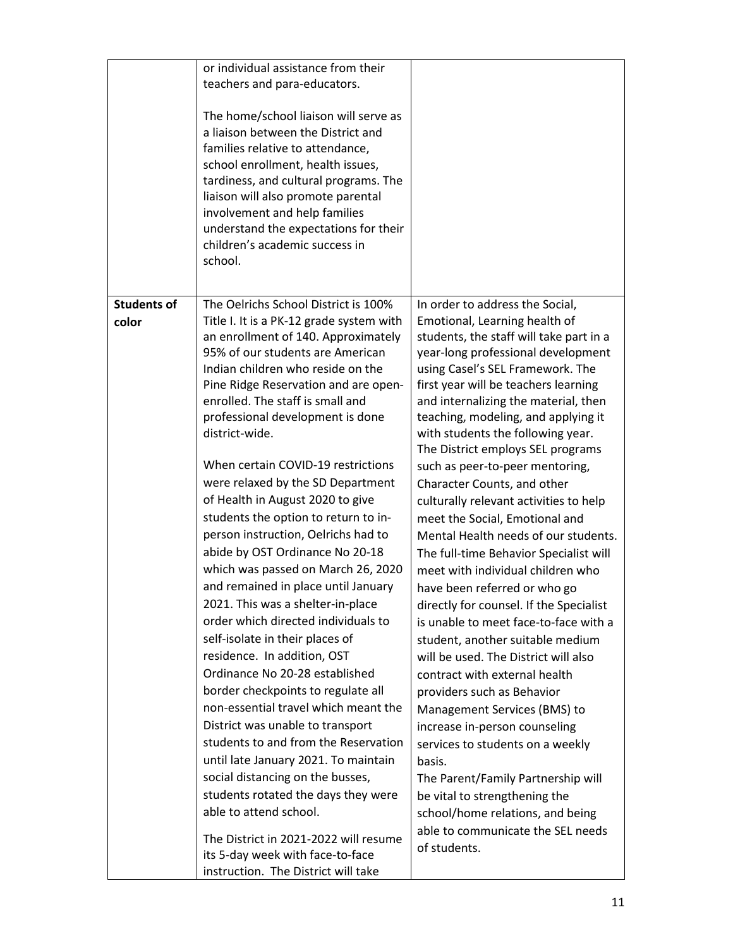|                             | or individual assistance from their<br>teachers and para-educators.<br>The home/school liaison will serve as<br>a liaison between the District and<br>families relative to attendance,<br>school enrollment, health issues,<br>tardiness, and cultural programs. The<br>liaison will also promote parental<br>involvement and help families<br>understand the expectations for their<br>children's academic success in<br>school.                                                                                                                                                                                 |                                                                                                                                                                                                                                                                                                                                                                                                                                                                                                                                                                           |
|-----------------------------|-------------------------------------------------------------------------------------------------------------------------------------------------------------------------------------------------------------------------------------------------------------------------------------------------------------------------------------------------------------------------------------------------------------------------------------------------------------------------------------------------------------------------------------------------------------------------------------------------------------------|---------------------------------------------------------------------------------------------------------------------------------------------------------------------------------------------------------------------------------------------------------------------------------------------------------------------------------------------------------------------------------------------------------------------------------------------------------------------------------------------------------------------------------------------------------------------------|
| <b>Students of</b><br>color | The Oelrichs School District is 100%<br>Title I. It is a PK-12 grade system with<br>an enrollment of 140. Approximately<br>95% of our students are American<br>Indian children who reside on the<br>Pine Ridge Reservation and are open-<br>enrolled. The staff is small and<br>professional development is done<br>district-wide.<br>When certain COVID-19 restrictions<br>were relaxed by the SD Department<br>of Health in August 2020 to give                                                                                                                                                                 | In order to address the Social,<br>Emotional, Learning health of<br>students, the staff will take part in a<br>year-long professional development<br>using Casel's SEL Framework. The<br>first year will be teachers learning<br>and internalizing the material, then<br>teaching, modeling, and applying it<br>with students the following year.<br>The District employs SEL programs<br>such as peer-to-peer mentoring,<br>Character Counts, and other<br>culturally relevant activities to help                                                                        |
|                             | students the option to return to in-<br>person instruction, Oelrichs had to<br>abide by OST Ordinance No 20-18<br>which was passed on March 26, 2020<br>and remained in place until January<br>2021. This was a shelter-in-place<br>order which directed individuals to<br>self-isolate in their places of<br>residence. In addition, OST<br>Ordinance No 20-28 established<br>border checkpoints to regulate all<br>non-essential travel which meant the<br>District was unable to transport<br>students to and from the Reservation<br>until late January 2021. To maintain<br>social distancing on the busses, | meet the Social, Emotional and<br>Mental Health needs of our students.<br>The full-time Behavior Specialist will<br>meet with individual children who<br>have been referred or who go<br>directly for counsel. If the Specialist<br>is unable to meet face-to-face with a<br>student, another suitable medium<br>will be used. The District will also<br>contract with external health<br>providers such as Behavior<br>Management Services (BMS) to<br>increase in-person counseling<br>services to students on a weekly<br>basis.<br>The Parent/Family Partnership will |
|                             | students rotated the days they were<br>able to attend school.<br>The District in 2021-2022 will resume<br>its 5-day week with face-to-face<br>instruction. The District will take                                                                                                                                                                                                                                                                                                                                                                                                                                 | be vital to strengthening the<br>school/home relations, and being<br>able to communicate the SEL needs<br>of students.                                                                                                                                                                                                                                                                                                                                                                                                                                                    |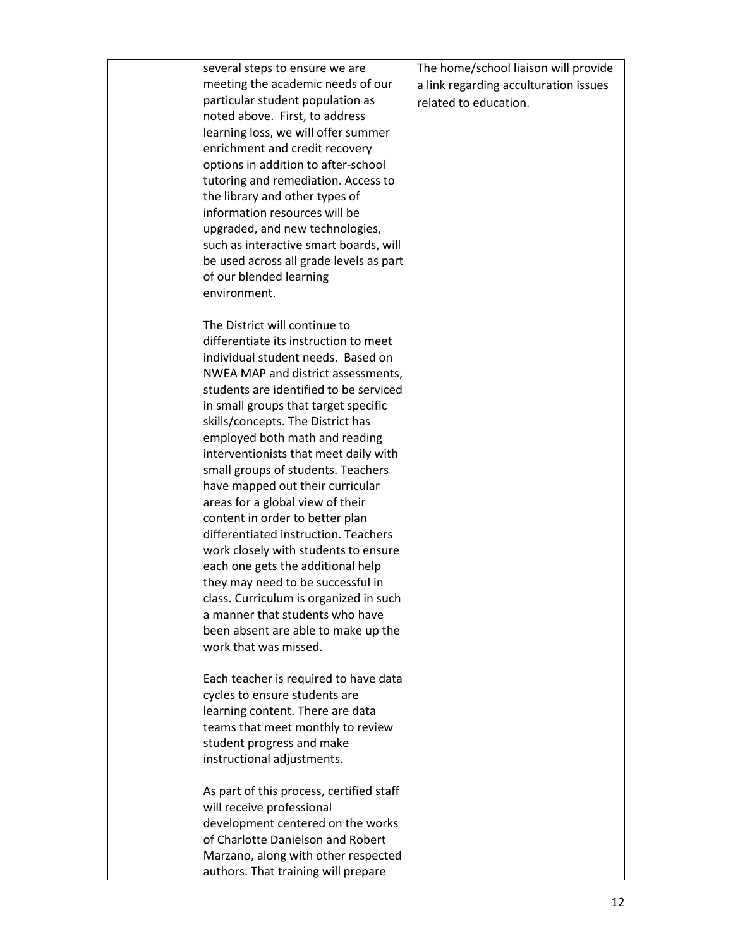| several steps to ensure we are           | The home/school liaison will provide  |
|------------------------------------------|---------------------------------------|
| meeting the academic needs of our        |                                       |
|                                          | a link regarding acculturation issues |
| particular student population as         | related to education.                 |
| noted above. First, to address           |                                       |
| learning loss, we will offer summer      |                                       |
| enrichment and credit recovery           |                                       |
| options in addition to after-school      |                                       |
| tutoring and remediation. Access to      |                                       |
| the library and other types of           |                                       |
| information resources will be            |                                       |
| upgraded, and new technologies,          |                                       |
| such as interactive smart boards, will   |                                       |
| be used across all grade levels as part  |                                       |
| of our blended learning                  |                                       |
| environment.                             |                                       |
|                                          |                                       |
|                                          |                                       |
| The District will continue to            |                                       |
| differentiate its instruction to meet    |                                       |
| individual student needs. Based on       |                                       |
| NWEA MAP and district assessments,       |                                       |
| students are identified to be serviced   |                                       |
| in small groups that target specific     |                                       |
| skills/concepts. The District has        |                                       |
| employed both math and reading           |                                       |
| interventionists that meet daily with    |                                       |
| small groups of students. Teachers       |                                       |
| have mapped out their curricular         |                                       |
| areas for a global view of their         |                                       |
| content in order to better plan          |                                       |
| differentiated instruction. Teachers     |                                       |
| work closely with students to ensure     |                                       |
| each one gets the additional help        |                                       |
| they may need to be successful in        |                                       |
| class. Curriculum is organized in such   |                                       |
| a manner that students who have          |                                       |
| been absent are able to make up the      |                                       |
| work that was missed.                    |                                       |
|                                          |                                       |
| Each teacher is required to have data    |                                       |
|                                          |                                       |
| cycles to ensure students are            |                                       |
| learning content. There are data         |                                       |
| teams that meet monthly to review        |                                       |
| student progress and make                |                                       |
| instructional adjustments.               |                                       |
|                                          |                                       |
| As part of this process, certified staff |                                       |
| will receive professional                |                                       |
| development centered on the works        |                                       |
| of Charlotte Danielson and Robert        |                                       |
| Marzano, along with other respected      |                                       |
| authors. That training will prepare      |                                       |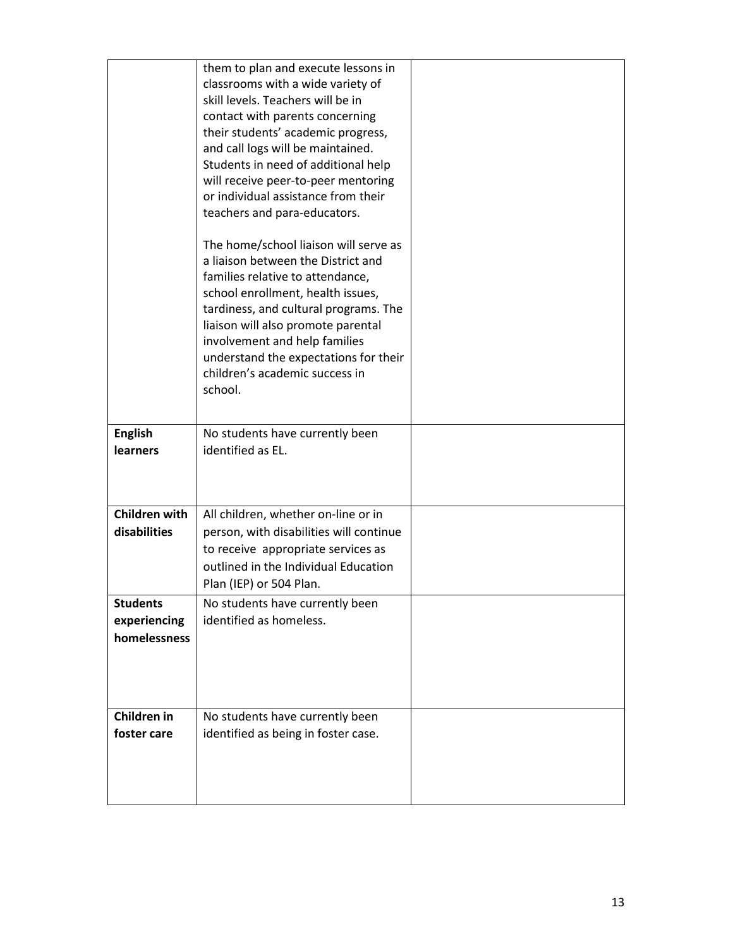|                                                 | them to plan and execute lessons in<br>classrooms with a wide variety of<br>skill levels. Teachers will be in<br>contact with parents concerning<br>their students' academic progress,<br>and call logs will be maintained.<br>Students in need of additional help<br>will receive peer-to-peer mentoring<br>or individual assistance from their<br>teachers and para-educators. |  |
|-------------------------------------------------|----------------------------------------------------------------------------------------------------------------------------------------------------------------------------------------------------------------------------------------------------------------------------------------------------------------------------------------------------------------------------------|--|
|                                                 | The home/school liaison will serve as<br>a liaison between the District and<br>families relative to attendance,<br>school enrollment, health issues,<br>tardiness, and cultural programs. The<br>liaison will also promote parental<br>involvement and help families<br>understand the expectations for their<br>children's academic success in<br>school.                       |  |
| <b>English</b><br><b>learners</b>               | No students have currently been<br>identified as EL.                                                                                                                                                                                                                                                                                                                             |  |
| <b>Children with</b><br>disabilities            | All children, whether on-line or in<br>person, with disabilities will continue<br>to receive appropriate services as<br>outlined in the Individual Education<br>Plan (IEP) or 504 Plan.                                                                                                                                                                                          |  |
| <b>Students</b><br>experiencing<br>homelessness | No students have currently been<br>identified as homeless.                                                                                                                                                                                                                                                                                                                       |  |
| Children in<br>foster care                      | No students have currently been<br>identified as being in foster case.                                                                                                                                                                                                                                                                                                           |  |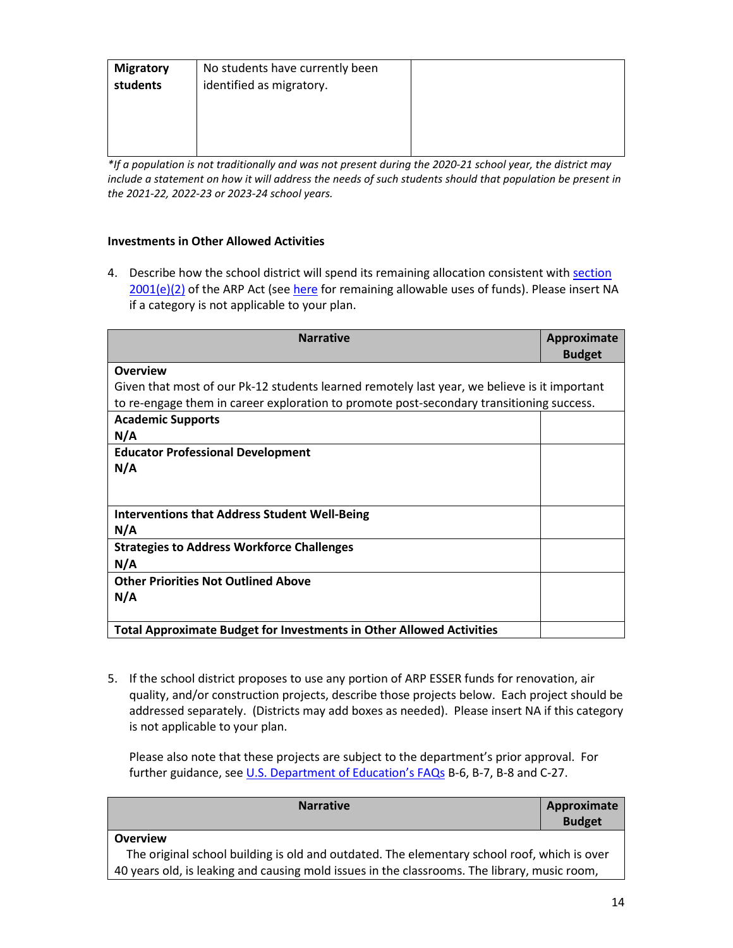| <b>Migratory</b> | No students have currently been |  |
|------------------|---------------------------------|--|
| students         | identified as migratory.        |  |
|                  |                                 |  |
|                  |                                 |  |
|                  |                                 |  |
|                  |                                 |  |

*\*If a population is not traditionally and was not present during the 2020-21 school year, the district may include a statement on how it will address the needs of such students should that population be present in the 2021-22, 2022-23 or 2023-24 school years.*

## **Investments in Other Allowed Activities**

4. Describe how the school district will spend its remaining allocation consistent with section [2001\(e\)\(2\)](https://www.congress.gov/bill/117th-congress/house-bill/1319/text#H1C1CA7B872894DE0B325C5BB06991BB8) of the ARP Act (see [here](https://www.congress.gov/bill/117th-congress/house-bill/1319/text#H1C1CA7B872894DE0B325C5BB06991BB8) for remaining allowable uses of funds). Please insert NA if a category is not applicable to your plan.

| <b>Narrative</b>                                                                             | Approximate<br><b>Budget</b> |
|----------------------------------------------------------------------------------------------|------------------------------|
| <b>Overview</b>                                                                              |                              |
| Given that most of our Pk-12 students learned remotely last year, we believe is it important |                              |
| to re-engage them in career exploration to promote post-secondary transitioning success.     |                              |
| <b>Academic Supports</b>                                                                     |                              |
| N/A                                                                                          |                              |
| <b>Educator Professional Development</b>                                                     |                              |
| N/A                                                                                          |                              |
|                                                                                              |                              |
| <b>Interventions that Address Student Well-Being</b>                                         |                              |
| N/A                                                                                          |                              |
| <b>Strategies to Address Workforce Challenges</b>                                            |                              |
| N/A                                                                                          |                              |
| <b>Other Priorities Not Outlined Above</b>                                                   |                              |
| N/A                                                                                          |                              |
|                                                                                              |                              |
| <b>Total Approximate Budget for Investments in Other Allowed Activities</b>                  |                              |

5. If the school district proposes to use any portion of ARP ESSER funds for renovation, air quality, and/or construction projects, describe those projects below. Each project should be addressed separately. (Districts may add boxes as needed). Please insert NA if this category is not applicable to your plan.

Please also note that these projects are subject to the department's prior approval. For further guidance, se[e U.S. Department of Education's FAQs](https://oese.ed.gov/files/2021/05/ESSER.GEER_.FAQs_5.26.21_745AM_FINALb0cd6833f6f46e03ba2d97d30aff953260028045f9ef3b18ea602db4b32b1d99.pdf) B-6, B-7, B-8 and C-27.

| <b>Narrative</b>                                                                             | Approximate<br><b>Budget</b> |
|----------------------------------------------------------------------------------------------|------------------------------|
| <b>Overview</b>                                                                              |                              |
| The original school building is old and outdated. The elementary school roof, which is over  |                              |
| 40 years old, is leaking and causing mold issues in the classrooms. The library, music room, |                              |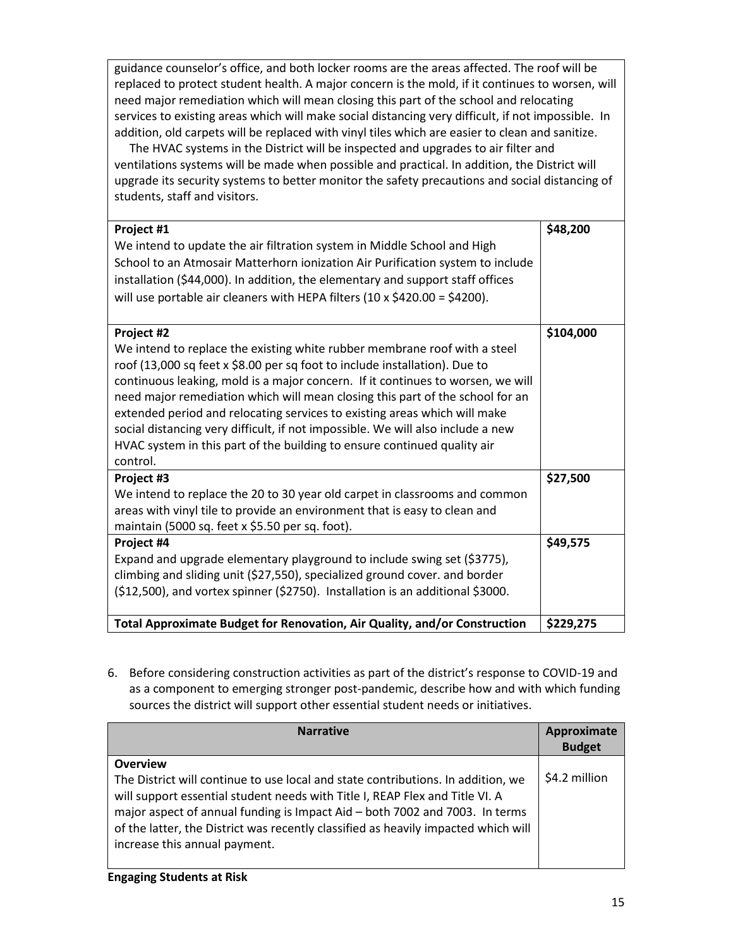guidance counselor's office, and both locker rooms are the areas affected. The roof will be replaced to protect student health. A major concern is the mold, if it continues to worsen, will need major remediation which will mean closing this part of the school and relocating services to existing areas which will make social distancing very difficult, if not impossible. In addition, old carpets will be replaced with vinyl tiles which are easier to clean and sanitize.

 The HVAC systems in the District will be inspected and upgrades to air filter and ventilations systems will be made when possible and practical. In addition, the District will upgrade its security systems to better monitor the safety precautions and social distancing of students, staff and visitors.

| Project #1<br>We intend to update the air filtration system in Middle School and High<br>School to an Atmosair Matterhorn ionization Air Purification system to include<br>installation (\$44,000). In addition, the elementary and support staff offices<br>will use portable air cleaners with HEPA filters (10 x \$420.00 = \$4200).                                                                                                                                                                                                                                                           | \$48,200  |
|---------------------------------------------------------------------------------------------------------------------------------------------------------------------------------------------------------------------------------------------------------------------------------------------------------------------------------------------------------------------------------------------------------------------------------------------------------------------------------------------------------------------------------------------------------------------------------------------------|-----------|
| Project #2<br>We intend to replace the existing white rubber membrane roof with a steel<br>roof (13,000 sq feet x \$8.00 per sq foot to include installation). Due to<br>continuous leaking, mold is a major concern. If it continues to worsen, we will<br>need major remediation which will mean closing this part of the school for an<br>extended period and relocating services to existing areas which will make<br>social distancing very difficult, if not impossible. We will also include a new<br>HVAC system in this part of the building to ensure continued quality air<br>control. | \$104,000 |
| Project #3<br>We intend to replace the 20 to 30 year old carpet in classrooms and common<br>areas with vinyl tile to provide an environment that is easy to clean and<br>maintain (5000 sq. feet x \$5.50 per sq. foot).                                                                                                                                                                                                                                                                                                                                                                          | \$27,500  |
| Project #4<br>Expand and upgrade elementary playground to include swing set (\$3775),<br>climbing and sliding unit (\$27,550), specialized ground cover. and border<br>$(512,500)$ , and vortex spinner (\$2750). Installation is an additional \$3000.                                                                                                                                                                                                                                                                                                                                           | \$49,575  |
| Total Approximate Budget for Renovation, Air Quality, and/or Construction                                                                                                                                                                                                                                                                                                                                                                                                                                                                                                                         | \$229,275 |

6. Before considering construction activities as part of the district's response to COVID-19 and as a component to emerging stronger post-pandemic, describe how and with which funding sources the district will support other essential student needs or initiatives.

| <b>Narrative</b>                                                                                                                                                                                                                                                                                                                                                                          | Approximate<br><b>Budget</b> |
|-------------------------------------------------------------------------------------------------------------------------------------------------------------------------------------------------------------------------------------------------------------------------------------------------------------------------------------------------------------------------------------------|------------------------------|
| <b>Overview</b><br>The District will continue to use local and state contributions. In addition, we<br>will support essential student needs with Title I, REAP Flex and Title VI. A<br>major aspect of annual funding is Impact Aid - both 7002 and 7003. In terms<br>of the latter, the District was recently classified as heavily impacted which will<br>increase this annual payment. | \$4.2 million                |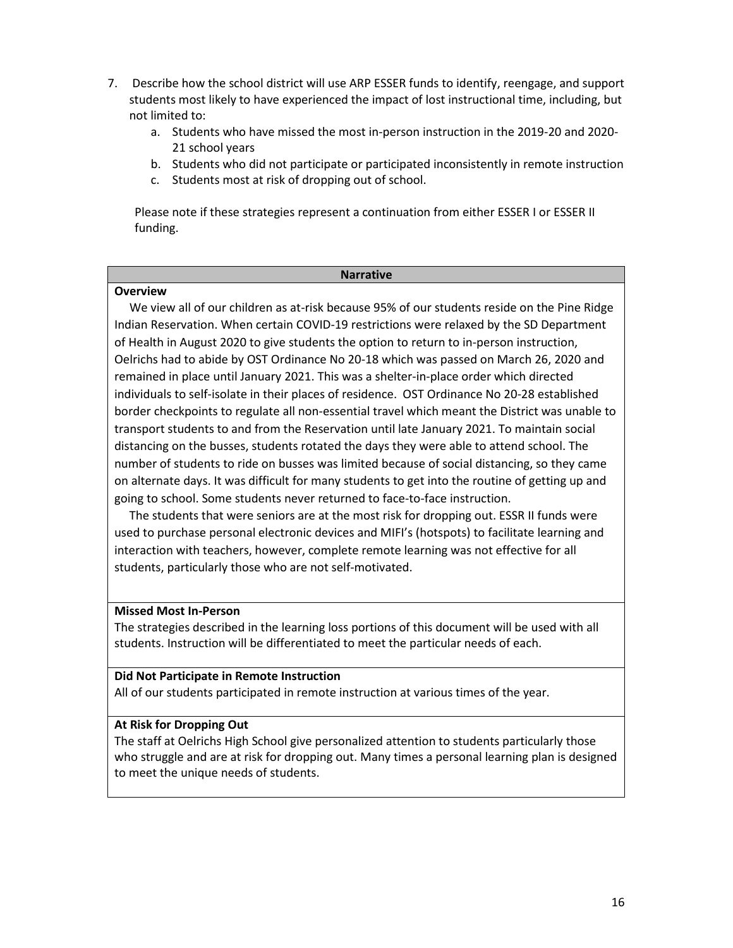- 7. Describe how the school district will use ARP ESSER funds to identify, reengage, and support students most likely to have experienced the impact of lost instructional time, including, but not limited to:
	- a. Students who have missed the most in-person instruction in the 2019-20 and 2020- 21 school years
	- b. Students who did not participate or participated inconsistently in remote instruction
	- c. Students most at risk of dropping out of school.

Please note if these strategies represent a continuation from either ESSER I or ESSER II funding.

#### **Narrative**

### **Overview**

 We view all of our children as at-risk because 95% of our students reside on the Pine Ridge Indian Reservation. When certain COVID-19 restrictions were relaxed by the SD Department of Health in August 2020 to give students the option to return to in-person instruction, Oelrichs had to abide by OST Ordinance No 20-18 which was passed on March 26, 2020 and remained in place until January 2021. This was a shelter-in-place order which directed individuals to self-isolate in their places of residence. OST Ordinance No 20-28 established border checkpoints to regulate all non-essential travel which meant the District was unable to transport students to and from the Reservation until late January 2021. To maintain social distancing on the busses, students rotated the days they were able to attend school. The number of students to ride on busses was limited because of social distancing, so they came on alternate days. It was difficult for many students to get into the routine of getting up and going to school. Some students never returned to face-to-face instruction.

 The students that were seniors are at the most risk for dropping out. ESSR II funds were used to purchase personal electronic devices and MIFI's (hotspots) to facilitate learning and interaction with teachers, however, complete remote learning was not effective for all students, particularly those who are not self-motivated.

## **Missed Most In-Person**

The strategies described in the learning loss portions of this document will be used with all students. Instruction will be differentiated to meet the particular needs of each.

## **Did Not Participate in Remote Instruction**

All of our students participated in remote instruction at various times of the year.

## **At Risk for Dropping Out**

The staff at Oelrichs High School give personalized attention to students particularly those who struggle and are at risk for dropping out. Many times a personal learning plan is designed to meet the unique needs of students.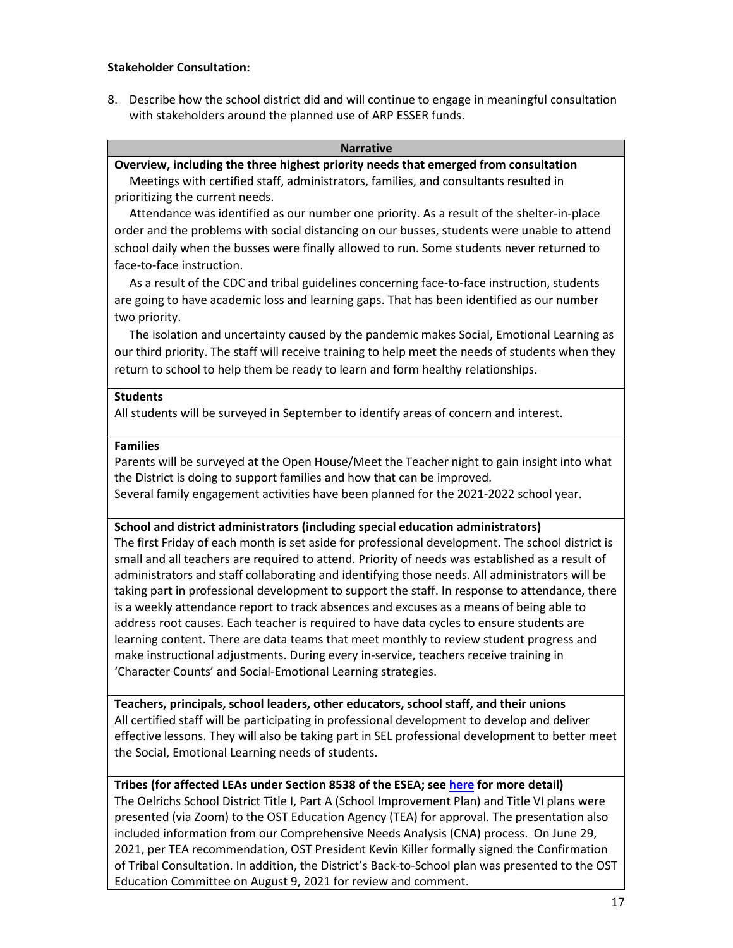## **Stakeholder Consultation:**

8. Describe how the school district did and will continue to engage in meaningful consultation with stakeholders around the planned use of ARP ESSER funds.

#### **Narrative**

## **Overview, including the three highest priority needs that emerged from consultation**

 Meetings with certified staff, administrators, families, and consultants resulted in prioritizing the current needs.

 Attendance was identified as our number one priority. As a result of the shelter-in-place order and the problems with social distancing on our busses, students were unable to attend school daily when the busses were finally allowed to run. Some students never returned to face-to-face instruction.

 As a result of the CDC and tribal guidelines concerning face-to-face instruction, students are going to have academic loss and learning gaps. That has been identified as our number two priority.

 The isolation and uncertainty caused by the pandemic makes Social, Emotional Learning as our third priority. The staff will receive training to help meet the needs of students when they return to school to help them be ready to learn and form healthy relationships.

### **Students**

All students will be surveyed in September to identify areas of concern and interest.

### **Families**

Parents will be surveyed at the Open House/Meet the Teacher night to gain insight into what the District is doing to support families and how that can be improved. Several family engagement activities have been planned for the 2021-2022 school year.

## **School and district administrators (including special education administrators)**

The first Friday of each month is set aside for professional development. The school district is small and all teachers are required to attend. Priority of needs was established as a result of administrators and staff collaborating and identifying those needs. All administrators will be taking part in professional development to support the staff. In response to attendance, there is a weekly attendance report to track absences and excuses as a means of being able to address root causes. Each teacher is required to have data cycles to ensure students are learning content. There are data teams that meet monthly to review student progress and make instructional adjustments. During every in-service, teachers receive training in 'Character Counts' and Social-Emotional Learning strategies.

**Teachers, principals, school leaders, other educators, school staff, and their unions** All certified staff will be participating in professional development to develop and deliver effective lessons. They will also be taking part in SEL professional development to better meet the Social, Emotional Learning needs of students.

## **Tribes (for affected LEAs under Section 8538 of the ESEA; see [here](https://doe.sd.gov/title/documents/Tribal-Cons-Guid-2020.pdf) for more detail)**

The Oelrichs School District Title I, Part A (School Improvement Plan) and Title VI plans were presented (via Zoom) to the OST Education Agency (TEA) for approval. The presentation also included information from our Comprehensive Needs Analysis (CNA) process. On June 29, 2021, per TEA recommendation, OST President Kevin Killer formally signed the Confirmation of Tribal Consultation. In addition, the District's Back-to-School plan was presented to the OST Education Committee on August 9, 2021 for review and comment.